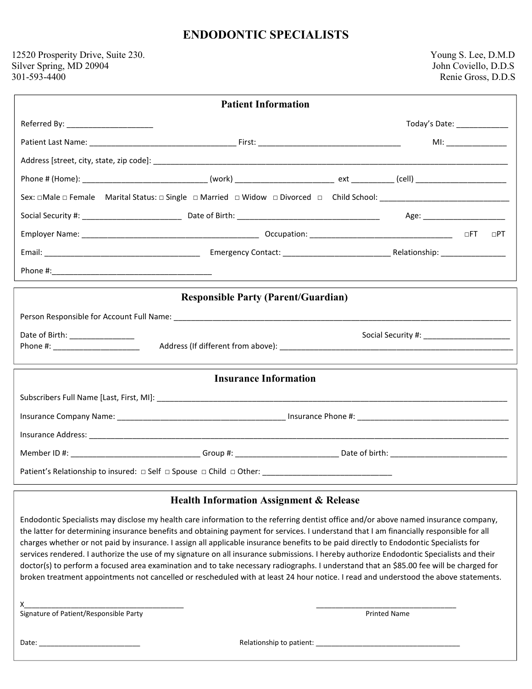## **ENDODONTIC SPECIALISTS**

## 12520 Prosperity Drive, Suite 230. Young S. Lee, D.M.D Silver Spring, MD 20904 John Coviello, D.D.S<br>
301-593-4400 Renie Gross, D.D.S

|                                                                               | <b>Patient Information</b>                                                                                     |                              |  |           |  |  |  |  |  |  |  |
|-------------------------------------------------------------------------------|----------------------------------------------------------------------------------------------------------------|------------------------------|--|-----------|--|--|--|--|--|--|--|
| Referred By: _____________________                                            |                                                                                                                | Today's Date: ______________ |  |           |  |  |  |  |  |  |  |
|                                                                               |                                                                                                                |                              |  |           |  |  |  |  |  |  |  |
|                                                                               |                                                                                                                |                              |  |           |  |  |  |  |  |  |  |
|                                                                               |                                                                                                                |                              |  |           |  |  |  |  |  |  |  |
|                                                                               |                                                                                                                |                              |  |           |  |  |  |  |  |  |  |
|                                                                               |                                                                                                                |                              |  |           |  |  |  |  |  |  |  |
|                                                                               |                                                                                                                |                              |  | $\Box$ PT |  |  |  |  |  |  |  |
|                                                                               |                                                                                                                |                              |  |           |  |  |  |  |  |  |  |
|                                                                               |                                                                                                                |                              |  |           |  |  |  |  |  |  |  |
| <b>Responsible Party (Parent/Guardian)</b><br>Date of Birth: ________________ |                                                                                                                |                              |  |           |  |  |  |  |  |  |  |
|                                                                               | <b>Insurance Information</b>                                                                                   |                              |  |           |  |  |  |  |  |  |  |
|                                                                               |                                                                                                                |                              |  |           |  |  |  |  |  |  |  |
|                                                                               |                                                                                                                |                              |  |           |  |  |  |  |  |  |  |
|                                                                               |                                                                                                                |                              |  |           |  |  |  |  |  |  |  |
|                                                                               |                                                                                                                |                              |  |           |  |  |  |  |  |  |  |
|                                                                               | Patient's Relationship to insured: □ Self □ Spouse □ Child □ Other: _______________________________            |                              |  |           |  |  |  |  |  |  |  |
| <b>Health Information Assignment &amp; Release</b>                            |                                                                                                                |                              |  |           |  |  |  |  |  |  |  |
|                                                                               | etti ekonomia territorian en estatubatuaren erabiltaria erabiltaria erabiltaria erabiltaria erabiltaria erabil |                              |  |           |  |  |  |  |  |  |  |

Endodontic Specialists may disclose my health care information to the referring dentist office and/or above named insurance company, the latter for determining insurance benefits and obtaining payment for services. I understand that I am financially responsible for all charges whether or not paid by insurance. I assign all applicable insurance benefits to be paid directly to Endodontic Specialists for services rendered. I authorize the use of my signature on all insurance submissions. I hereby authorize Endodontic Specialists and their doctor(s) to perform a focused area examination and to take necessary radiographs. I understand that an \$85.00 fee will be charged for broken treatment appointments not cancelled or rescheduled with at least 24 hour notice. I read and understood the above statements.

 $x \sim$ 

Signature of Patient/Responsible Party **Printed Name Printed Name** Printed Name

Date: \_\_\_\_\_\_\_\_\_\_\_\_\_\_\_\_\_\_\_\_\_\_\_\_\_\_ Relationship to patient: \_\_\_\_\_\_\_\_\_\_\_\_\_\_\_\_\_\_\_\_\_\_\_\_\_\_\_\_\_\_\_\_\_\_\_\_\_